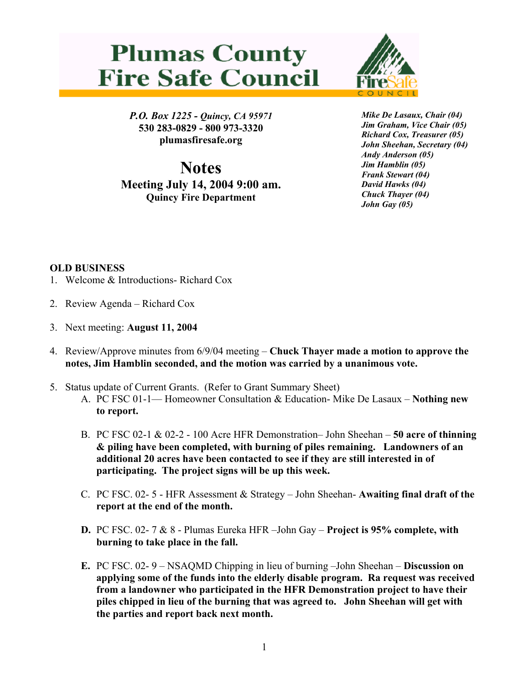## **Plumas County Fire Safe Council**



*P.O. Box 1225 - Quincy, CA 95971*  **530 283-0829 - 800 973-3320 plumasfiresafe.org** 

**Notes Meeting July 14, 2004 9:00 am. Quincy Fire Department**

*Mike De Lasaux, Chair (04) Jim Graham, Vice Chair (05) Richard Cox, Treasurer (05) John Sheehan, Secretary (04) Andy Anderson (05) Jim Hamblin (05) Frank Stewart (04) David Hawks (04) Chuck Thayer (04) John Gay (05)*

## **OLD BUSINESS**

- 1. Welcome & Introductions- Richard Cox
- 2. Review Agenda Richard Cox
- 3. Next meeting: **August 11, 2004**
- 4. Review/Approve minutes from 6/9/04 meeting – **Chuck Thayer made a motion to approve the notes, Jim Hamblin seconded, and the motion was carried by a unanimous vote.**
- 5. Status update of Current Grants. (Refer to Grant Summary Sheet)
	- A. PC FSC 01-1— Homeowner Consultation & Education- Mike De Lasaux **Nothing new to report.**
	- B. PC FSC 02-1 & 02-2 100 Acre HFR Demonstration– John Sheehan **50 acre of thinning & piling have been completed, with burning of piles remaining. Landowners of an additional 20 acres have been contacted to see if they are still interested in of participating. The project signs will be up this week.**
	- C. PC FSC. 02- 5 HFR Assessment & Strategy John Sheehan- **Awaiting final draft of the report at the end of the month.**
	- **D.** PC FSC. 02- 7 & 8 Plumas Eureka HFR –John Gay **Project is 95% complete, with burning to take place in the fall.**
	- **E.** PC FSC. 02- 9 NSAQMD Chipping in lieu of burning –John Sheehan **Discussion on applying some of the funds into the elderly disable program. Ra request was received from a landowner who participated in the HFR Demonstration project to have their piles chipped in lieu of the burning that was agreed to. John Sheehan will get with the parties and report back next month.**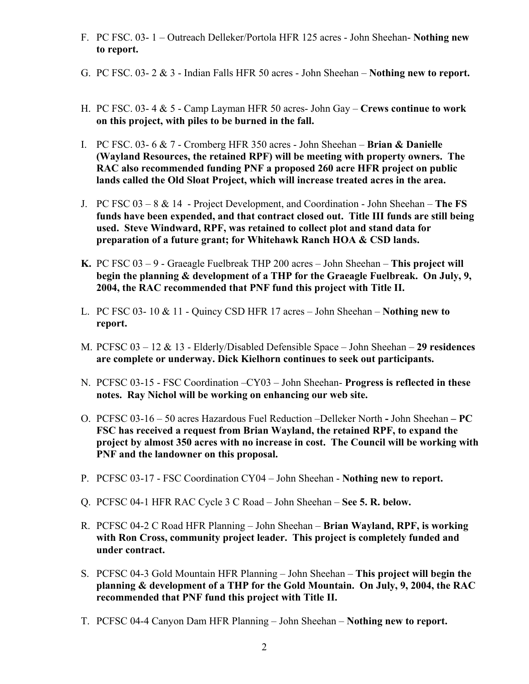- F. PC FSC. 03- 1 Outreach Delleker/Portola HFR 125 acres John Sheehan- **Nothing new to report.**
- G. PC FSC. 03- 2 & 3 Indian Falls HFR 50 acres John Sheehan **Nothing new to report.**
- H. PC FSC. 03- 4 & 5 Camp Layman HFR 50 acres- John Gay **Crews continue to work on this project, with piles to be burned in the fall.**
- I. PC FSC. 03- 6 & 7 Cromberg HFR 350 acres John Sheehan **Brian & Danielle (Wayland Resources, the retained RPF) will be meeting with property owners. The RAC also recommended funding PNF a proposed 260 acre HFR project on public lands called the Old Sloat Project, which will increase treated acres in the area.**
- J. PC FSC 03 8 & 14 Project Development, and Coordination John Sheehan – **The FS funds have been expended, and that contract closed out. Title III funds are still being used. Steve Windward, RPF, was retained to collect plot and stand data for preparation of a future grant; for Whitehawk Ranch HOA & CSD lands.**
- **K.** PC FSC 03 9 Graeagle Fuelbreak THP 200 acres John Sheehan – **This project will begin the planning & development of a THP for the Graeagle Fuelbreak. On July, 9, 2004, the RAC recommended that PNF fund this project with Title II.**
- L. PC FSC 03- 10 & 11 Quincy CSD HFR 17 acres John Sheehan – **Nothing new to report.**
- M. PCFSC 03 12 & 13 Elderly/Disabled Defensible Space John Sheehan **29 residences are complete or underway. Dick Kielhorn continues to seek out participants.**
- N. PCFSC 03-15 FSC Coordination –CY03 John Sheehan- **Progress is reflected in these notes. Ray Nichol will be working on enhancing our web site.**
- O. PCFSC 03-16 50 acres Hazardous Fuel Reduction –Delleker North **-** John Sheehan **PC FSC has received a request from Brian Wayland, the retained RPF, to expand the project by almost 350 acres with no increase in cost. The Council will be working with PNF and the landowner on this proposal.**
- P. PCFSC 03-17 FSC Coordination CY04 John Sheehan **Nothing new to report.**
- Q. PCFSC 04-1 HFR RAC Cycle 3 C Road John Sheehan **See 5. R. below.**
- R. PCFSC 04-2 C Road HFR Planning John Sheehan **Brian Wayland, RPF, is working with Ron Cross, community project leader. This project is completely funded and under contract.**
- S. PCFSC 04-3 Gold Mountain HFR Planning John Sheehan **This project will begin the planning & development of a THP for the Gold Mountain. On July, 9, 2004, the RAC recommended that PNF fund this project with Title II.**
- T. PCFSC 04-4 Canyon Dam HFR Planning John Sheehan **Nothing new to report.**